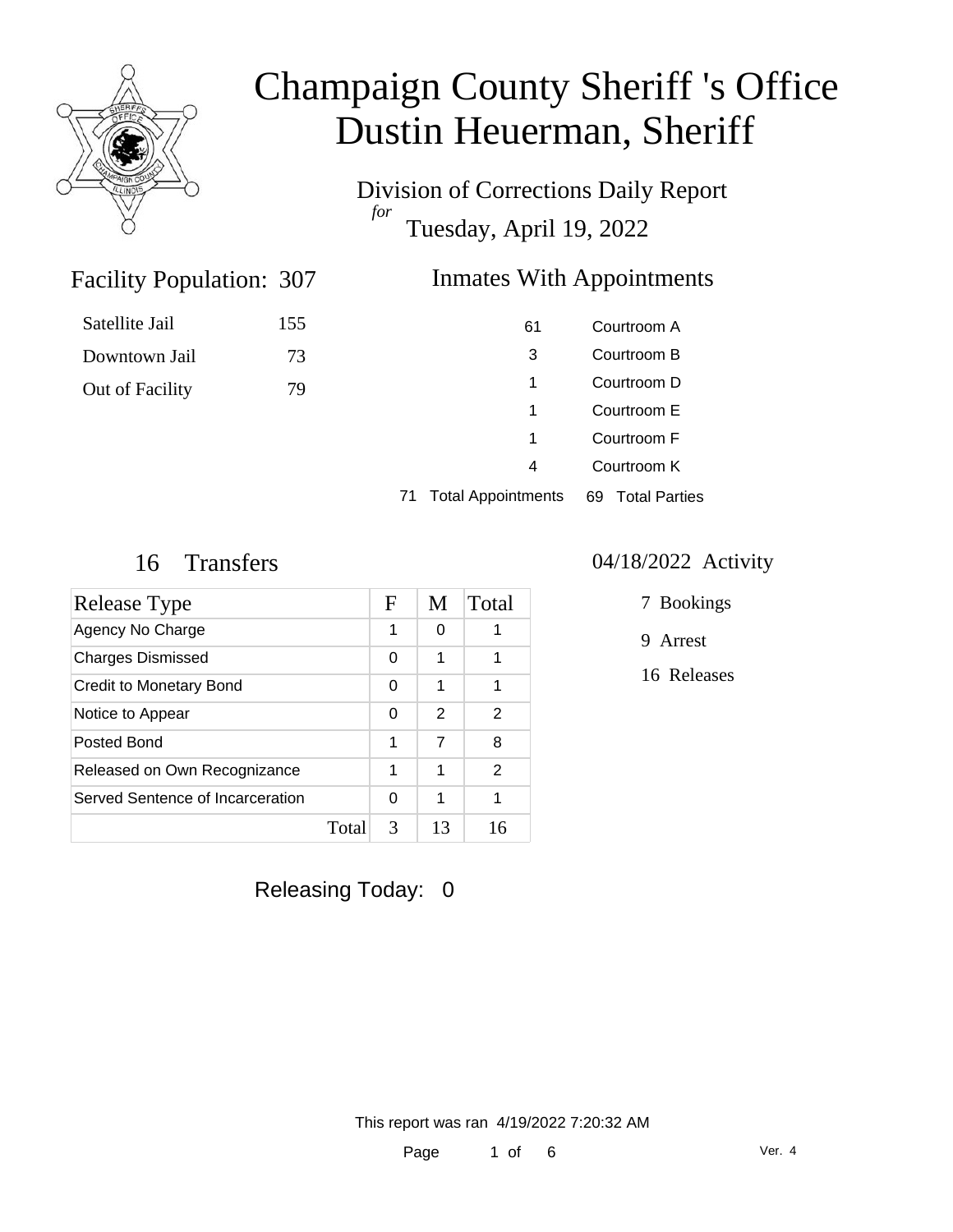

Division of Corrections Daily Report *for* Tuesday, April 19, 2022

### Inmates With Appointments

| Courtroom A | 61 |
|-------------|----|
| Courtroom B | 3  |
| Courtroom D | 1  |
| Courtroom E | 1  |
| Courtroom F | 1  |
| Courtroom K | 4  |
|             |    |

71 Total Appointments 69 Total Parties

Facility Population: 307

Satellite Jail 155

Downtown Jail 73

Out of Facility 79

| Release Type                     |       | F | M  | Total |
|----------------------------------|-------|---|----|-------|
| Agency No Charge                 |       | 1 | 0  |       |
| <b>Charges Dismissed</b>         |       | 0 | 1  | 1     |
| Credit to Monetary Bond          |       | 0 | 1  | 1     |
| Notice to Appear                 |       | 0 | 2  | 2     |
| Posted Bond                      |       | 1 | 7  | 8     |
| Released on Own Recognizance     |       | 1 | 1  | 2     |
| Served Sentence of Incarceration |       | 0 | 1  | 1     |
|                                  | Total | 3 | 13 | 16    |

#### 16 Transfers 04/18/2022 Activity

7 Bookings

9 Arrest

16 Releases

Releasing Today: 0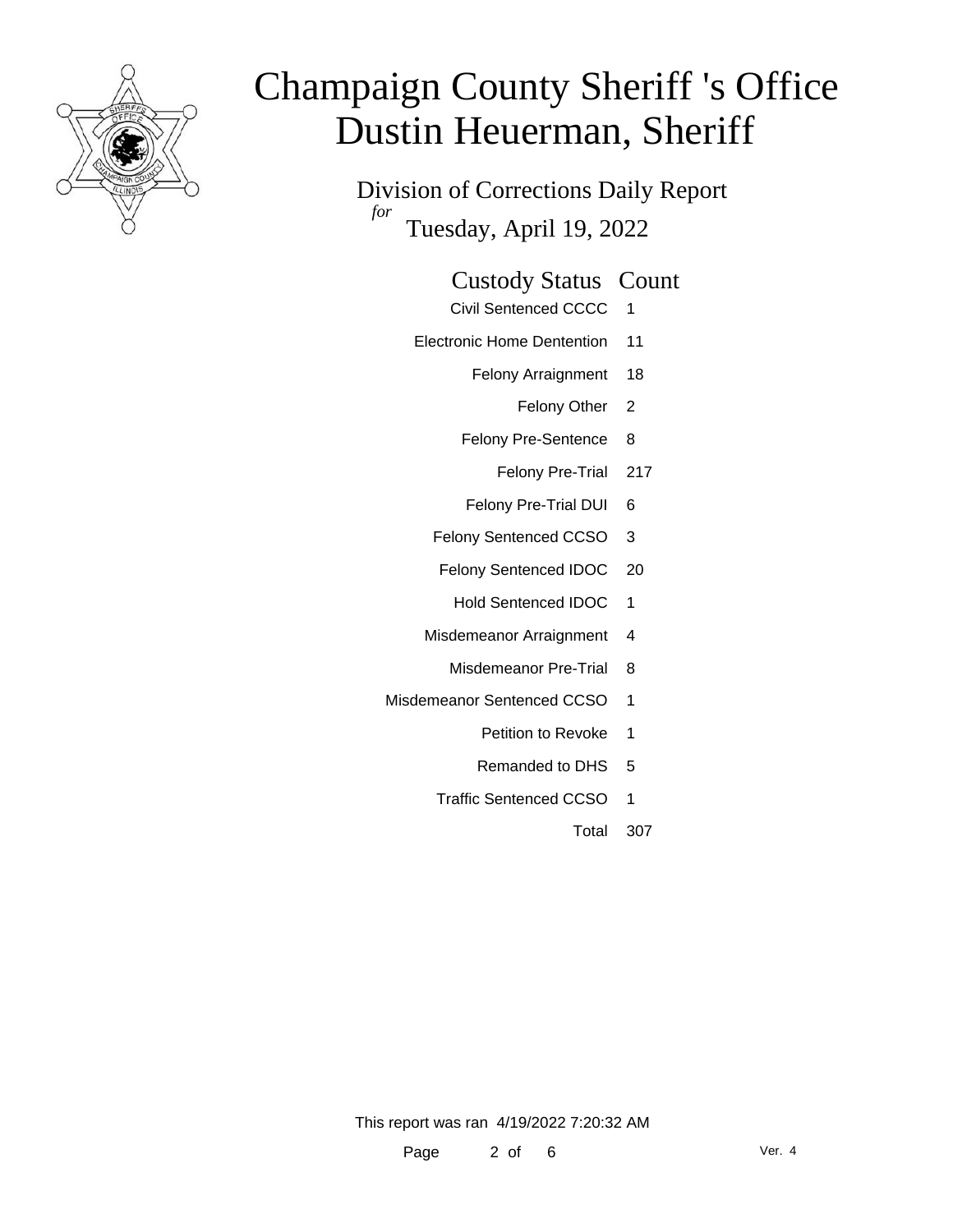

Division of Corrections Daily Report *for* Tuesday, April 19, 2022

#### Custody Status Count

- Civil Sentenced CCCC 1
- Electronic Home Dentention 11
	- Felony Arraignment 18
		- Felony Other 2
	- Felony Pre-Sentence 8
		- Felony Pre-Trial 217
	- Felony Pre-Trial DUI 6
	- Felony Sentenced CCSO 3
	- Felony Sentenced IDOC 20
		- Hold Sentenced IDOC 1
	- Misdemeanor Arraignment 4
		- Misdemeanor Pre-Trial 8
- Misdemeanor Sentenced CCSO 1
	- Petition to Revoke 1
	- Remanded to DHS 5
	- Traffic Sentenced CCSO 1
		- Total 307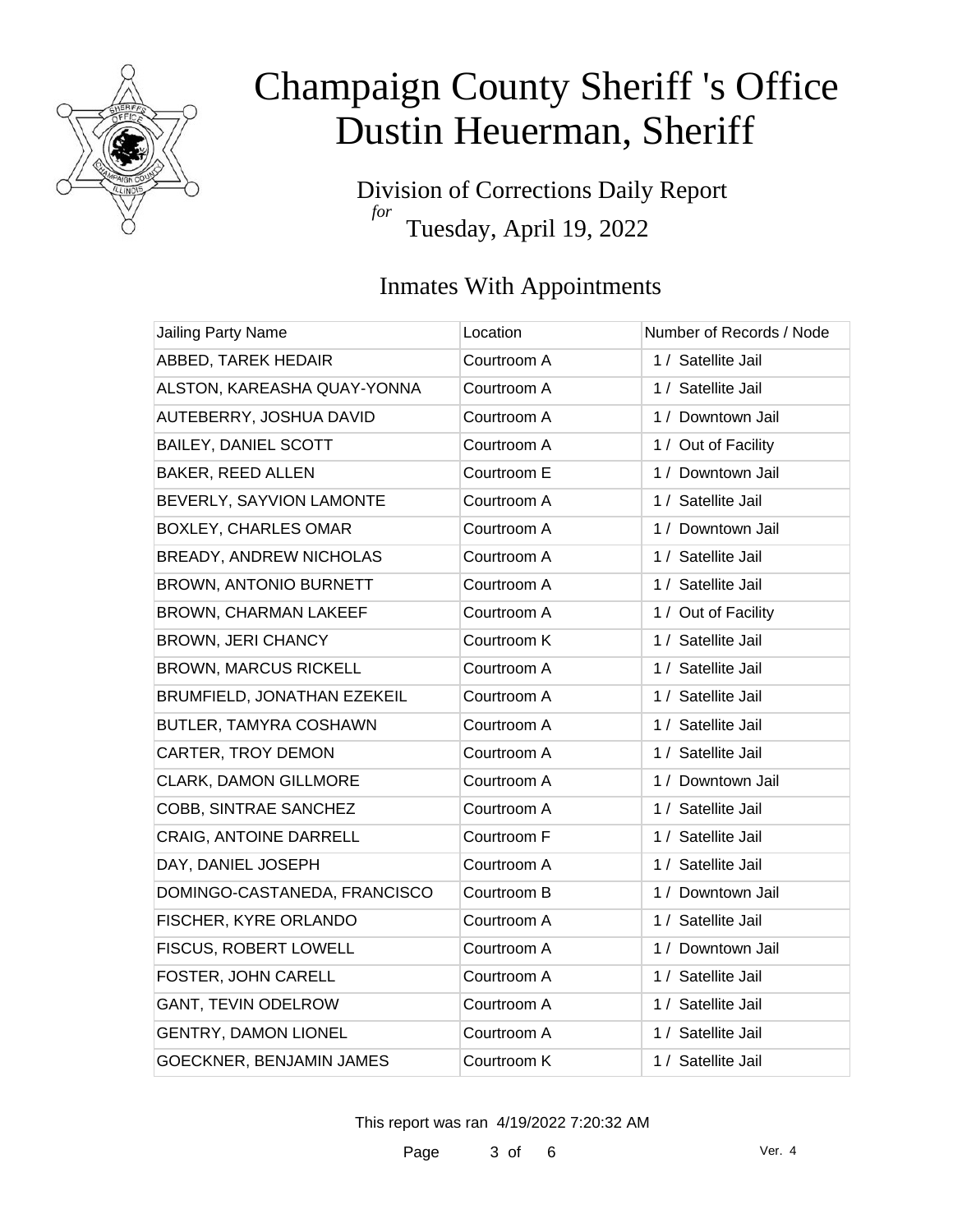

Division of Corrections Daily Report *for* Tuesday, April 19, 2022

### Inmates With Appointments

| Jailing Party Name             | Location    | Number of Records / Node |
|--------------------------------|-------------|--------------------------|
| ABBED, TAREK HEDAIR            | Courtroom A | 1 / Satellite Jail       |
| ALSTON, KAREASHA QUAY-YONNA    | Courtroom A | 1 / Satellite Jail       |
| AUTEBERRY, JOSHUA DAVID        | Courtroom A | 1 / Downtown Jail        |
| <b>BAILEY, DANIEL SCOTT</b>    | Courtroom A | 1 / Out of Facility      |
| BAKER, REED ALLEN              | Courtroom E | 1 / Downtown Jail        |
| BEVERLY, SAYVION LAMONTE       | Courtroom A | 1 / Satellite Jail       |
| <b>BOXLEY, CHARLES OMAR</b>    | Courtroom A | 1 / Downtown Jail        |
| <b>BREADY, ANDREW NICHOLAS</b> | Courtroom A | 1 / Satellite Jail       |
| BROWN, ANTONIO BURNETT         | Courtroom A | 1 / Satellite Jail       |
| BROWN, CHARMAN LAKEEF          | Courtroom A | 1 / Out of Facility      |
| <b>BROWN, JERI CHANCY</b>      | Courtroom K | 1 / Satellite Jail       |
| <b>BROWN, MARCUS RICKELL</b>   | Courtroom A | 1 / Satellite Jail       |
| BRUMFIELD, JONATHAN EZEKEIL    | Courtroom A | 1 / Satellite Jail       |
| BUTLER, TAMYRA COSHAWN         | Courtroom A | 1 / Satellite Jail       |
| CARTER, TROY DEMON             | Courtroom A | 1 / Satellite Jail       |
| <b>CLARK, DAMON GILLMORE</b>   | Courtroom A | 1 / Downtown Jail        |
| COBB, SINTRAE SANCHEZ          | Courtroom A | 1 / Satellite Jail       |
| <b>CRAIG, ANTOINE DARRELL</b>  | Courtroom F | 1 / Satellite Jail       |
| DAY, DANIEL JOSEPH             | Courtroom A | 1 / Satellite Jail       |
| DOMINGO-CASTANEDA, FRANCISCO   | Courtroom B | 1 / Downtown Jail        |
| FISCHER, KYRE ORLANDO          | Courtroom A | 1 / Satellite Jail       |
| FISCUS, ROBERT LOWELL          | Courtroom A | 1 / Downtown Jail        |
| FOSTER, JOHN CARELL            | Courtroom A | 1 / Satellite Jail       |
| <b>GANT, TEVIN ODELROW</b>     | Courtroom A | 1 / Satellite Jail       |
| <b>GENTRY, DAMON LIONEL</b>    | Courtroom A | 1 / Satellite Jail       |
| GOECKNER, BENJAMIN JAMES       | Courtroom K | 1 / Satellite Jail       |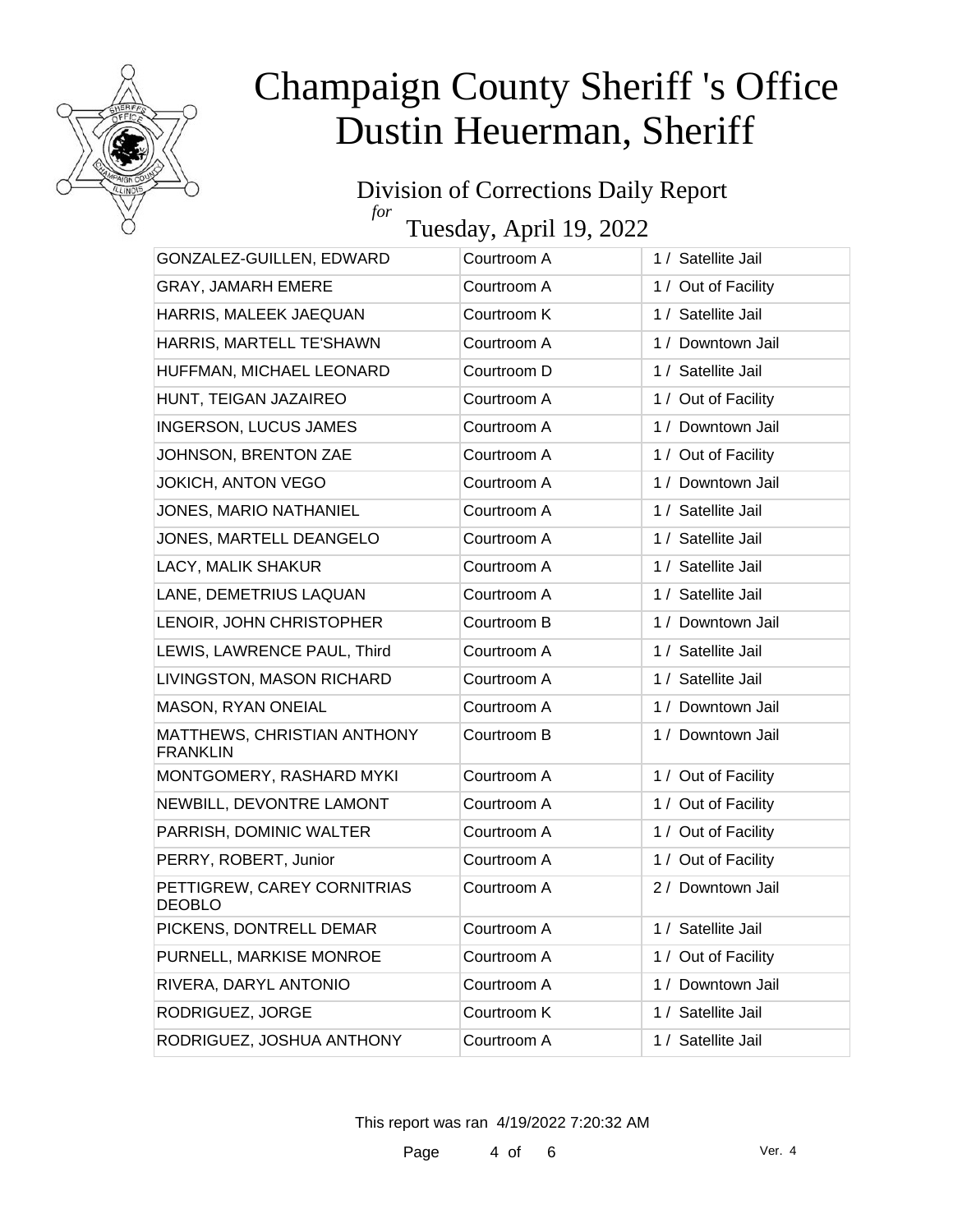

#### Division of Corrections Daily Report *for*

Tuesday, April 19, 2022

| GONZALEZ-GUILLEN, EDWARD                       | Courtroom A | 1 / Satellite Jail  |
|------------------------------------------------|-------------|---------------------|
| <b>GRAY, JAMARH EMERE</b>                      | Courtroom A | 1 / Out of Facility |
| HARRIS, MALEEK JAEQUAN                         | Courtroom K | 1 / Satellite Jail  |
| HARRIS, MARTELL TE'SHAWN                       | Courtroom A | 1 / Downtown Jail   |
| HUFFMAN, MICHAEL LEONARD                       | Courtroom D | 1 / Satellite Jail  |
| HUNT, TEIGAN JAZAIREO                          | Courtroom A | 1 / Out of Facility |
| <b>INGERSON, LUCUS JAMES</b>                   | Courtroom A | 1 / Downtown Jail   |
| JOHNSON, BRENTON ZAE                           | Courtroom A | 1 / Out of Facility |
| <b>JOKICH, ANTON VEGO</b>                      | Courtroom A | 1 / Downtown Jail   |
| JONES, MARIO NATHANIEL                         | Courtroom A | 1 / Satellite Jail  |
| JONES, MARTELL DEANGELO                        | Courtroom A | 1 / Satellite Jail  |
| LACY, MALIK SHAKUR                             | Courtroom A | 1 / Satellite Jail  |
| LANE, DEMETRIUS LAQUAN                         | Courtroom A | 1 / Satellite Jail  |
| LENOIR, JOHN CHRISTOPHER                       | Courtroom B | 1 / Downtown Jail   |
| LEWIS, LAWRENCE PAUL, Third                    | Courtroom A | 1 / Satellite Jail  |
| LIVINGSTON, MASON RICHARD                      | Courtroom A | 1 / Satellite Jail  |
| MASON, RYAN ONEIAL                             | Courtroom A | 1 / Downtown Jail   |
| MATTHEWS, CHRISTIAN ANTHONY<br><b>FRANKLIN</b> | Courtroom B | 1 / Downtown Jail   |
| MONTGOMERY, RASHARD MYKI                       | Courtroom A | 1 / Out of Facility |
| NEWBILL, DEVONTRE LAMONT                       | Courtroom A | 1 / Out of Facility |
| PARRISH, DOMINIC WALTER                        | Courtroom A | 1 / Out of Facility |
| PERRY, ROBERT, Junior                          | Courtroom A | 1 / Out of Facility |
| PETTIGREW, CAREY CORNITRIAS<br><b>DEOBLO</b>   | Courtroom A | 2 / Downtown Jail   |
| PICKENS, DONTRELL DEMAR                        | Courtroom A | 1 / Satellite Jail  |
| PURNELL, MARKISE MONROE                        | Courtroom A | 1 / Out of Facility |
| RIVERA, DARYL ANTONIO                          | Courtroom A | 1 / Downtown Jail   |
| RODRIGUEZ, JORGE                               | Courtroom K | 1 / Satellite Jail  |
| RODRIGUEZ, JOSHUA ANTHONY                      | Courtroom A | 1 / Satellite Jail  |
|                                                |             |                     |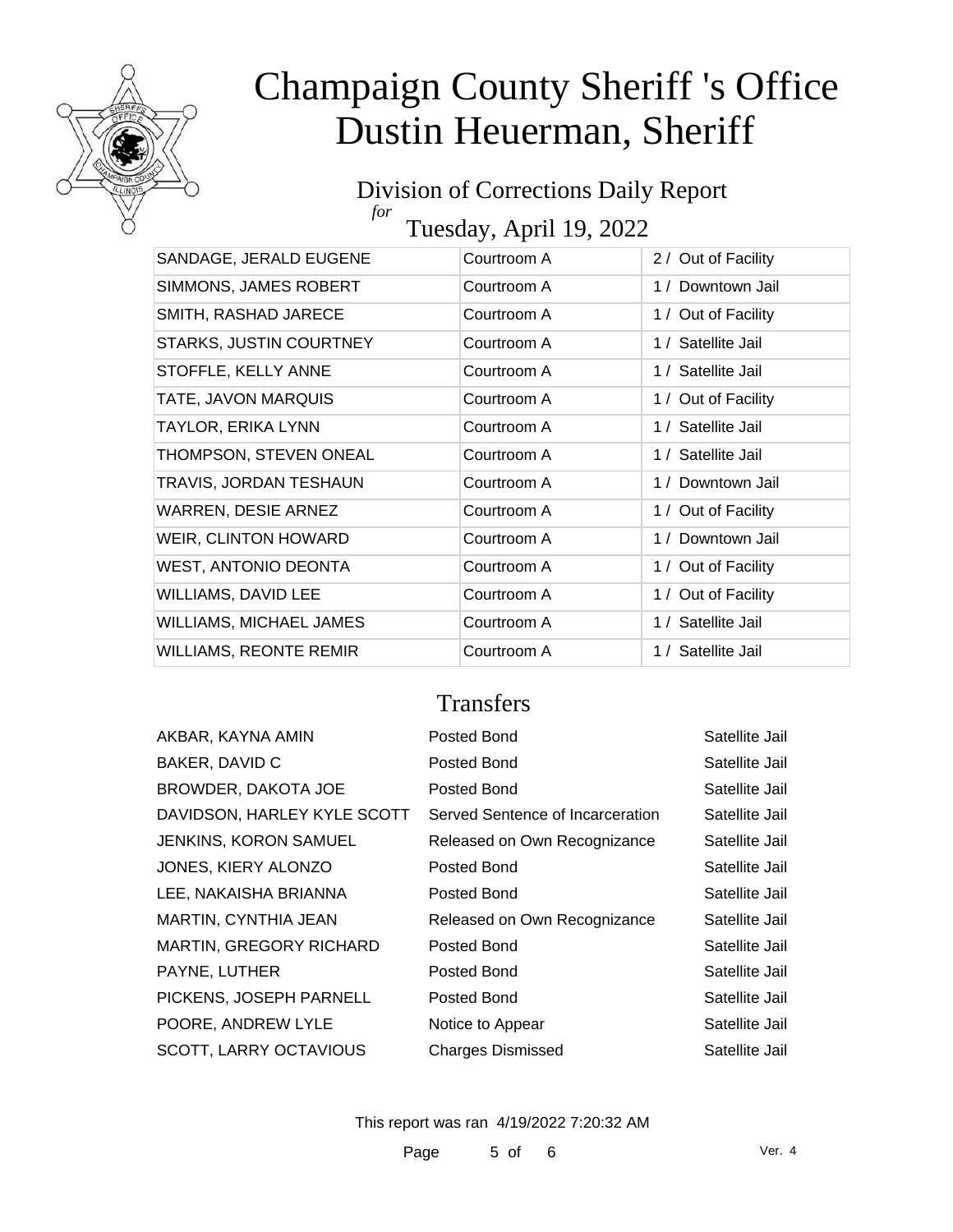

#### Division of Corrections Daily Report *for*

Tuesday, April 19, 2022

| SANDAGE, JERALD EUGENE         | Courtroom A | 2 / Out of Facility |
|--------------------------------|-------------|---------------------|
| SIMMONS, JAMES ROBERT          | Courtroom A | 1 / Downtown Jail   |
| SMITH, RASHAD JARECE           | Courtroom A | 1 / Out of Facility |
| <b>STARKS, JUSTIN COURTNEY</b> | Courtroom A | 1 / Satellite Jail  |
| STOFFLE, KELLY ANNE            | Courtroom A | 1 / Satellite Jail  |
| TATE, JAVON MARQUIS            | Courtroom A | 1 / Out of Facility |
| TAYLOR, ERIKA LYNN             | Courtroom A | 1 / Satellite Jail  |
| THOMPSON, STEVEN ONEAL         | Courtroom A | 1 / Satellite Jail  |
| TRAVIS, JORDAN TESHAUN         | Courtroom A | 1 / Downtown Jail   |
| <b>WARREN, DESIE ARNEZ</b>     | Courtroom A | 1 / Out of Facility |
| <b>WEIR, CLINTON HOWARD</b>    | Courtroom A | 1 / Downtown Jail   |
| <b>WEST, ANTONIO DEONTA</b>    | Courtroom A | 1 / Out of Facility |
| WILLIAMS, DAVID LEE            | Courtroom A | 1 / Out of Facility |
| WILLIAMS, MICHAEL JAMES        | Courtroom A | 1 / Satellite Jail  |
| <b>WILLIAMS, REONTE REMIR</b>  | Courtroom A | 1 / Satellite Jail  |

### **Transfers**

| AKBAR, KAYNA AMIN              | Posted Bond                      | Satellite Jail |
|--------------------------------|----------------------------------|----------------|
| BAKER, DAVID C                 | Posted Bond                      | Satellite Jail |
| BROWDER, DAKOTA JOE            | Posted Bond                      | Satellite Jail |
| DAVIDSON, HARLEY KYLE SCOTT    | Served Sentence of Incarceration | Satellite Jail |
| JENKINS, KORON SAMUEL          | Released on Own Recognizance     | Satellite Jail |
| JONES, KIERY ALONZO            | Posted Bond                      | Satellite Jail |
| LEE, NAKAISHA BRIANNA          | Posted Bond                      | Satellite Jail |
| MARTIN, CYNTHIA JEAN           | Released on Own Recognizance     | Satellite Jail |
| <b>MARTIN, GREGORY RICHARD</b> | Posted Bond                      | Satellite Jail |
| PAYNE, LUTHER                  | Posted Bond                      | Satellite Jail |
| PICKENS, JOSEPH PARNELL        | Posted Bond                      | Satellite Jail |
| POORE, ANDREW LYLE             | Notice to Appear                 | Satellite Jail |
| <b>SCOTT, LARRY OCTAVIOUS</b>  | <b>Charges Dismissed</b>         | Satellite Jail |